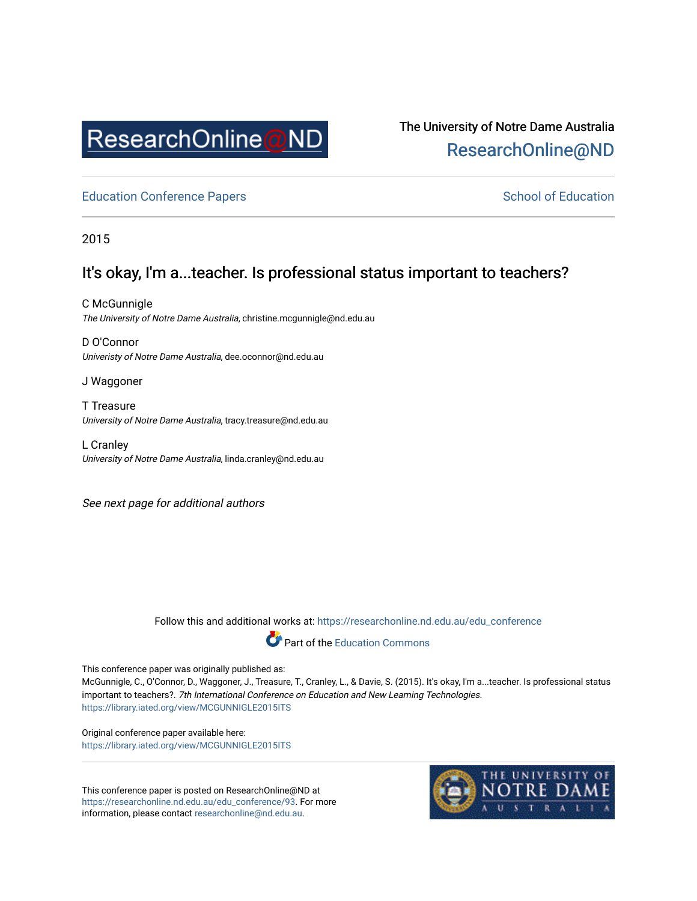

# The University of Notre Dame Australia [ResearchOnline@ND](https://researchonline.nd.edu.au/)

[Education Conference Papers](https://researchonline.nd.edu.au/edu_conference) **School of Education** School of Education

2015

# It's okay, I'm a...teacher. Is professional status important to teachers?

C McGunnigle The University of Notre Dame Australia, christine.mcgunnigle@nd.edu.au

D O'Connor Univeristy of Notre Dame Australia, dee.oconnor@nd.edu.au

J Waggoner

T Treasure University of Notre Dame Australia, tracy.treasure@nd.edu.au

L Cranley University of Notre Dame Australia, linda.cranley@nd.edu.au

See next page for additional authors

Follow this and additional works at: [https://researchonline.nd.edu.au/edu\\_conference](https://researchonline.nd.edu.au/edu_conference?utm_source=researchonline.nd.edu.au%2Fedu_conference%2F93&utm_medium=PDF&utm_campaign=PDFCoverPages)



This conference paper was originally published as:

McGunnigle, C., O'Connor, D., Waggoner, J., Treasure, T., Cranley, L., & Davie, S. (2015). It's okay, I'm a...teacher. Is professional status important to teachers?. 7th International Conference on Education and New Learning Technologies. <https://library.iated.org/view/MCGUNNIGLE2015ITS>

Original conference paper available here: <https://library.iated.org/view/MCGUNNIGLE2015ITS>

This conference paper is posted on ResearchOnline@ND at [https://researchonline.nd.edu.au/edu\\_conference/93.](https://researchonline.nd.edu.au/edu_conference/93) For more information, please contact [researchonline@nd.edu.au.](mailto:researchonline@nd.edu.au)

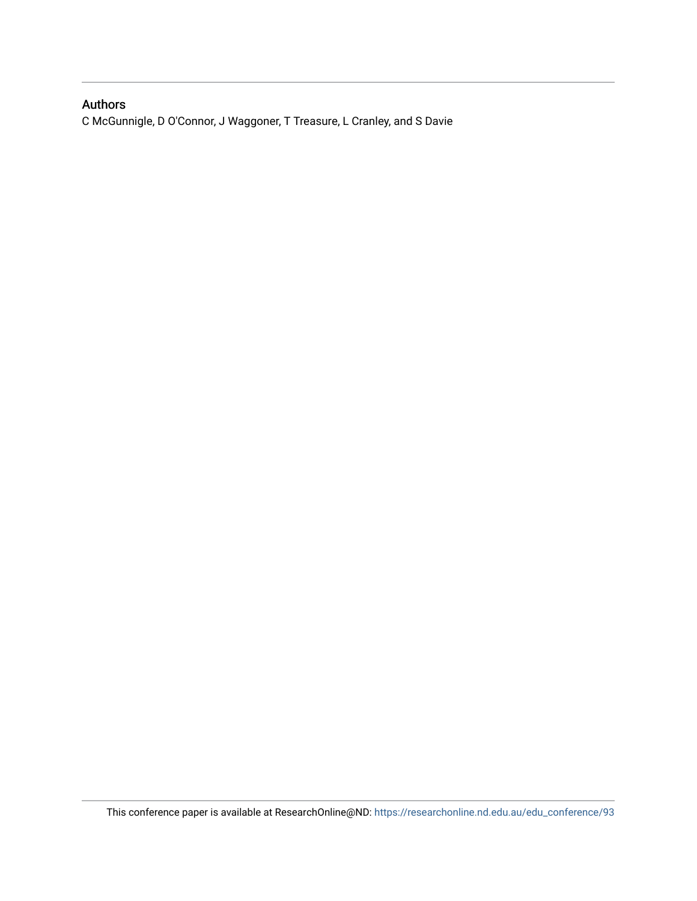## Authors

C McGunnigle, D O'Connor, J Waggoner, T Treasure, L Cranley, and S Davie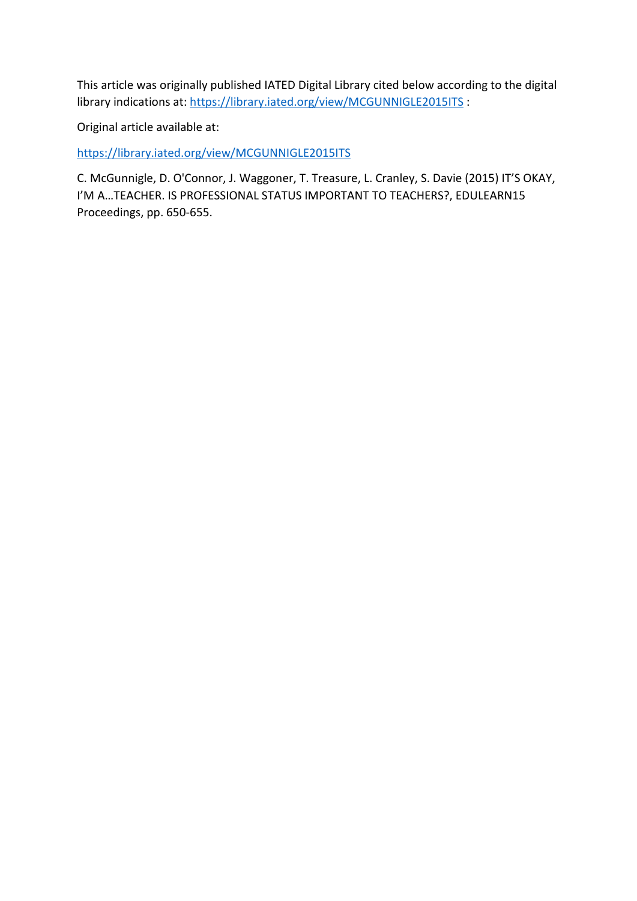This article was originally published IATED Digital Library cited below according to the digital library indications at: <https://library.iated.org/view/MCGUNNIGLE2015ITS> :

Original article available at:

<https://library.iated.org/view/MCGUNNIGLE2015ITS>

C. McGunnigle, D. O'Connor, J. Waggoner, T. Treasure, L. Cranley, S. Davie (2015) IT'S OKAY, I'M A…TEACHER. IS PROFESSIONAL STATUS IMPORTANT TO TEACHERS?, EDULEARN15 Proceedings, pp. 650-655.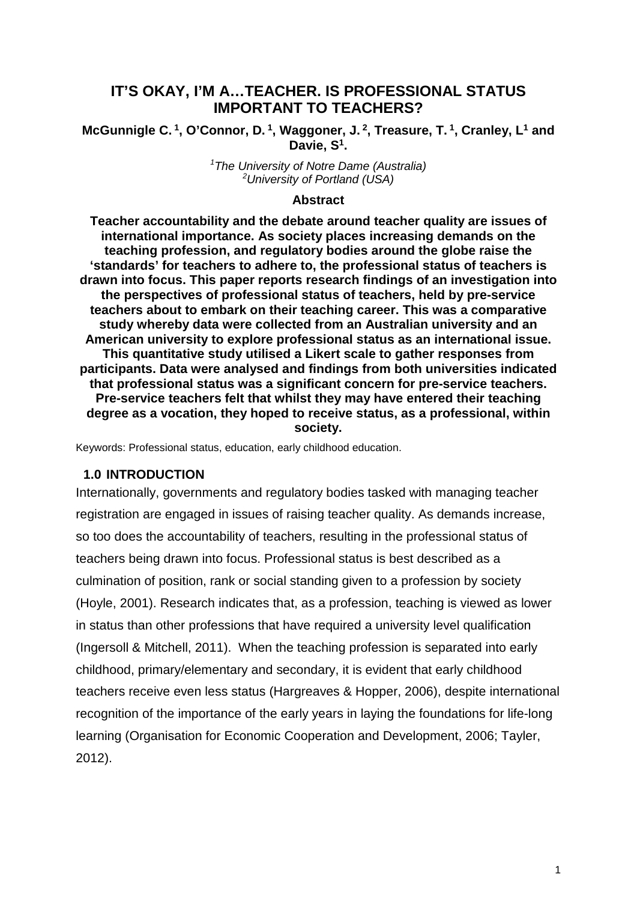# **IT'S OKAY, I'M A…TEACHER. IS PROFESSIONAL STATUS IMPORTANT TO TEACHERS?**

## **McGunnigle C. 1, O'Connor, D. 1, Waggoner, J. 2, Treasure, T. 1, Cranley, L1 and Davie, S1.**

*1 The University of Notre Dame (Australia) 2 University of Portland (USA)* 

#### **Abstract**

**Teacher accountability and the debate around teacher quality are issues of international importance. As society places increasing demands on the teaching profession, and regulatory bodies around the globe raise the 'standards' for teachers to adhere to, the professional status of teachers is drawn into focus. This paper reports research findings of an investigation into the perspectives of professional status of teachers, held by pre-service teachers about to embark on their teaching career. This was a comparative study whereby data were collected from an Australian university and an American university to explore professional status as an international issue. This quantitative study utilised a Likert scale to gather responses from participants. Data were analysed and findings from both universities indicated that professional status was a significant concern for pre-service teachers. Pre-service teachers felt that whilst they may have entered their teaching degree as a vocation, they hoped to receive status, as a professional, within society.**

Keywords: Professional status, education, early childhood education.

#### **1.0 INTRODUCTION**

Internationally, governments and regulatory bodies tasked with managing teacher registration are engaged in issues of raising teacher quality. As demands increase, so too does the accountability of teachers, resulting in the professional status of teachers being drawn into focus. Professional status is best described as a culmination of position, rank or social standing given to a profession by society (Hoyle, 2001). Research indicates that, as a profession, teaching is viewed as lower in status than other professions that have required a university level qualification (Ingersoll & Mitchell, 2011). When the teaching profession is separated into early childhood, primary/elementary and secondary, it is evident that early childhood teachers receive even less status (Hargreaves & Hopper, 2006), despite international recognition of the importance of the early years in laying the foundations for life-long learning (Organisation for Economic Cooperation and Development, 2006; Tayler, 2012).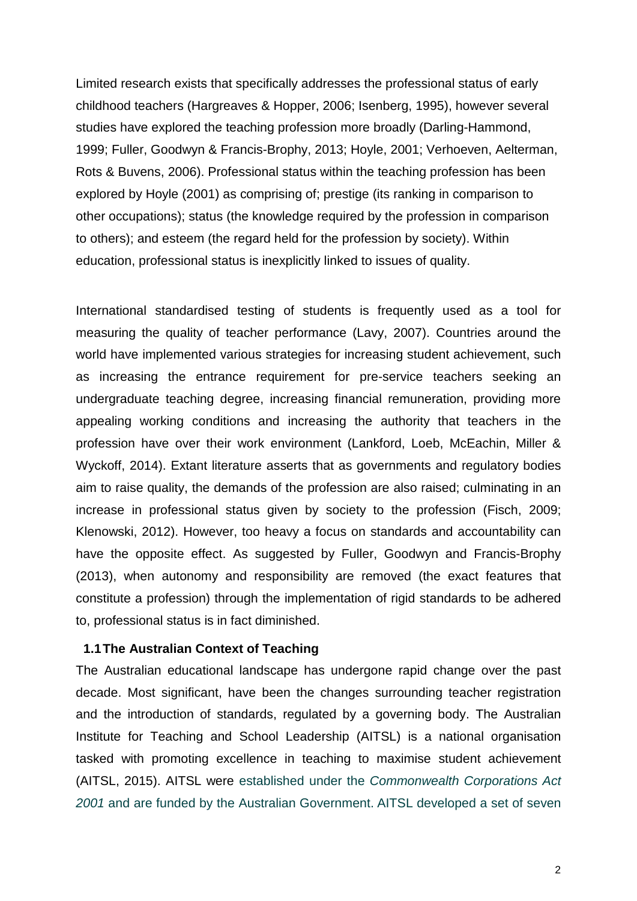Limited research exists that specifically addresses the professional status of early childhood teachers (Hargreaves & Hopper, 2006; Isenberg, 1995), however several studies have explored the teaching profession more broadly (Darling-Hammond, 1999; Fuller, Goodwyn & Francis-Brophy, 2013; Hoyle, 2001; Verhoeven, Aelterman, Rots & Buvens, 2006). Professional status within the teaching profession has been explored by Hoyle (2001) as comprising of; prestige (its ranking in comparison to other occupations); status (the knowledge required by the profession in comparison to others); and esteem (the regard held for the profession by society). Within education, professional status is inexplicitly linked to issues of quality.

International standardised testing of students is frequently used as a tool for measuring the quality of teacher performance (Lavy, 2007). Countries around the world have implemented various strategies for increasing student achievement, such as increasing the entrance requirement for pre-service teachers seeking an undergraduate teaching degree, increasing financial remuneration, providing more appealing working conditions and increasing the authority that teachers in the profession have over their work environment (Lankford, Loeb, McEachin, Miller & Wyckoff, 2014). Extant literature asserts that as governments and regulatory bodies aim to raise quality, the demands of the profession are also raised; culminating in an increase in professional status given by society to the profession (Fisch, 2009; Klenowski, 2012). However, too heavy a focus on standards and accountability can have the opposite effect. As suggested by Fuller, Goodwyn and Francis-Brophy (2013), when autonomy and responsibility are removed (the exact features that constitute a profession) through the implementation of rigid standards to be adhered to, professional status is in fact diminished.

#### **1.1The Australian Context of Teaching**

The Australian educational landscape has undergone rapid change over the past decade. Most significant, have been the changes surrounding teacher registration and the introduction of standards, regulated by a governing body. The Australian Institute for Teaching and School Leadership (AITSL) is a national organisation tasked with promoting excellence in teaching to maximise student achievement (AITSL, 2015). AITSL were established under the *Commonwealth Corporations Act 2001* and are funded by the Australian Government. AITSL developed a set of seven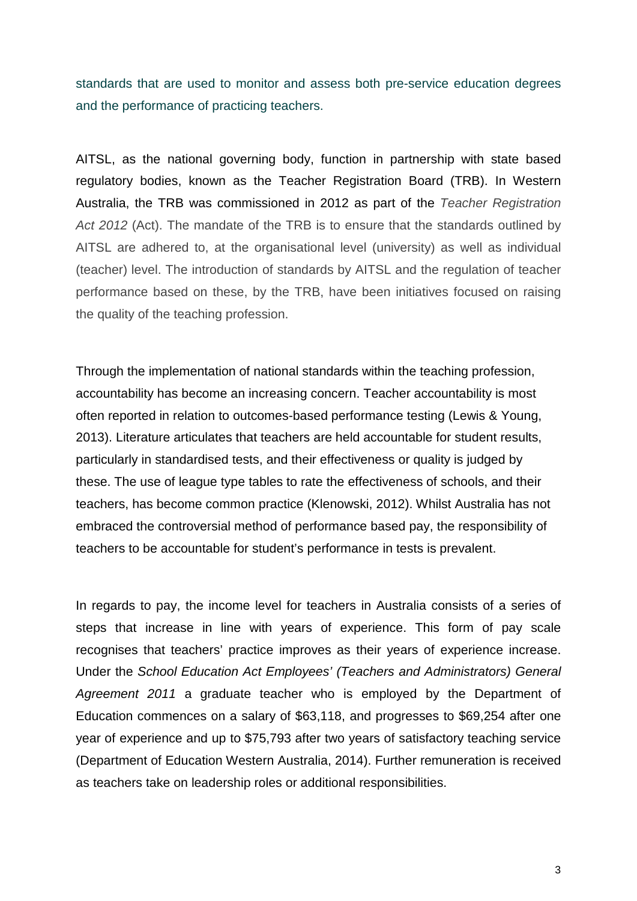standards that are used to monitor and assess both pre-service education degrees and the performance of practicing teachers.

AITSL, as the national governing body, function in partnership with state based regulatory bodies, known as the Teacher Registration Board (TRB). In Western Australia, the TRB was commissioned in 2012 as part of the *Teacher Registration Act 2012* (Act). The mandate of the TRB is to ensure that the standards outlined by AITSL are adhered to, at the organisational level (university) as well as individual (teacher) level. The introduction of standards by AITSL and the regulation of teacher performance based on these, by the TRB, have been initiatives focused on raising the quality of the teaching profession.

Through the implementation of national standards within the teaching profession, accountability has become an increasing concern. Teacher accountability is most often reported in relation to outcomes-based performance testing (Lewis & Young, 2013). Literature articulates that teachers are held accountable for student results, particularly in standardised tests, and their effectiveness or quality is judged by these. The use of league type tables to rate the effectiveness of schools, and their teachers, has become common practice (Klenowski, 2012). Whilst Australia has not embraced the controversial method of performance based pay, the responsibility of teachers to be accountable for student's performance in tests is prevalent.

In regards to pay, the income level for teachers in Australia consists of a series of steps that increase in line with years of experience. This form of pay scale recognises that teachers' practice improves as their years of experience increase. Under the *School Education Act Employees' (Teachers and Administrators) General Agreement 2011* a graduate teacher who is employed by the Department of Education commences on a salary of \$63,118, and progresses to \$69,254 after one year of experience and up to \$75,793 after two years of satisfactory teaching service (Department of Education Western Australia, 2014). Further remuneration is received as teachers take on leadership roles or additional responsibilities.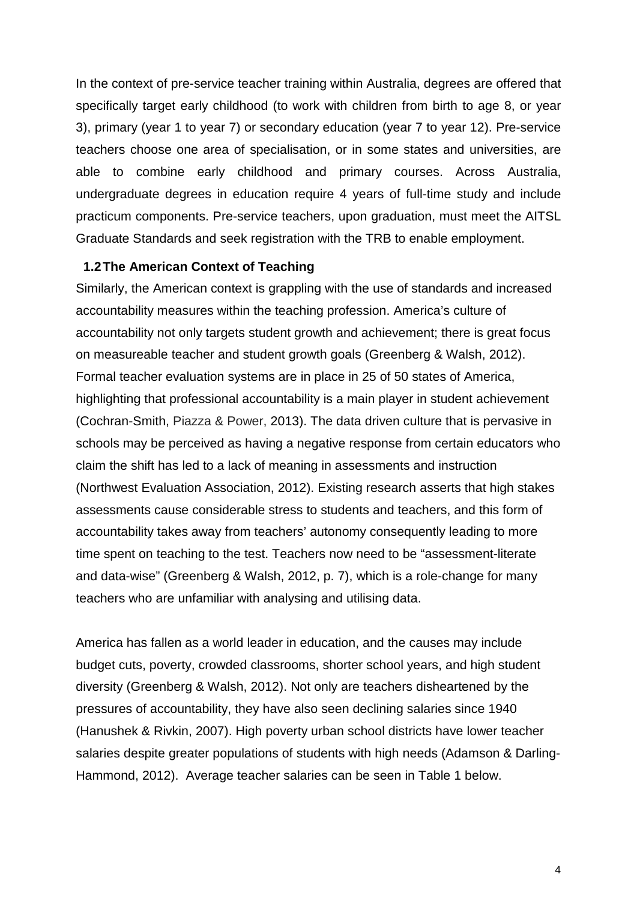In the context of pre-service teacher training within Australia, degrees are offered that specifically target early childhood (to work with children from birth to age 8, or year 3), primary (year 1 to year 7) or secondary education (year 7 to year 12). Pre-service teachers choose one area of specialisation, or in some states and universities, are able to combine early childhood and primary courses. Across Australia, undergraduate degrees in education require 4 years of full-time study and include practicum components. Pre-service teachers, upon graduation, must meet the AITSL Graduate Standards and seek registration with the TRB to enable employment.

### **1.2The American Context of Teaching**

Similarly, the American context is grappling with the use of standards and increased accountability measures within the teaching profession. America's culture of accountability not only targets student growth and achievement; there is great focus on measureable teacher and student growth goals (Greenberg & Walsh, 2012). Formal teacher evaluation systems are in place in 25 of 50 states of America, highlighting that professional accountability is a main player in student achievement (Cochran-Smith, Piazza & Power, 2013). The data driven culture that is pervasive in schools may be perceived as having a negative response from certain educators who claim the shift has led to a lack of meaning in assessments and instruction (Northwest Evaluation Association, 2012). Existing research asserts that high stakes assessments cause considerable stress to students and teachers, and this form of accountability takes away from teachers' autonomy consequently leading to more time spent on teaching to the test. Teachers now need to be "assessment-literate and data-wise" (Greenberg & Walsh, 2012, p. 7), which is a role-change for many teachers who are unfamiliar with analysing and utilising data.

America has fallen as a world leader in education, and the causes may include budget cuts, poverty, crowded classrooms, shorter school years, and high student diversity (Greenberg & Walsh, 2012). Not only are teachers disheartened by the pressures of accountability, they have also seen declining salaries since 1940 (Hanushek & Rivkin, 2007). High poverty urban school districts have lower teacher salaries despite greater populations of students with high needs (Adamson & Darling-Hammond, 2012). Average teacher salaries can be seen in Table 1 below.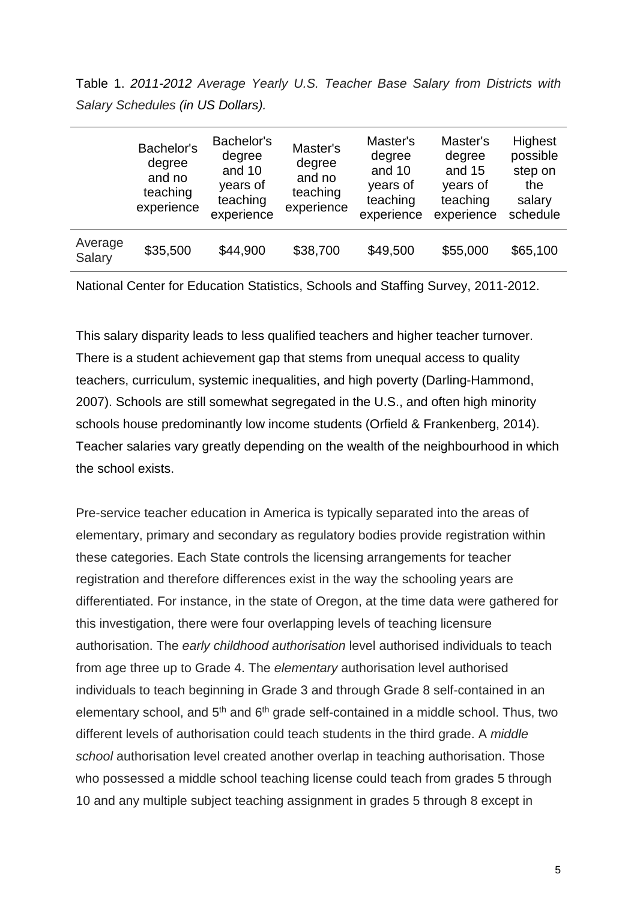Table 1. *2011-2012 Average Yearly U.S. Teacher Base Salary from Districts with Salary Schedules (in US Dollars).*

|                   | Bachelor's<br>degree<br>and no<br>teaching<br>experience | Bachelor's<br>degree<br>and 10<br>years of<br>teaching<br>experience | Master's<br>degree<br>and no<br>teaching<br>experience | Master's<br>degree<br>and 10<br>years of<br>teaching<br>experience | Master's<br>degree<br>and 15<br>years of<br>teaching<br>experience | Highest<br>possible<br>step on<br>the<br>salary<br>schedule |
|-------------------|----------------------------------------------------------|----------------------------------------------------------------------|--------------------------------------------------------|--------------------------------------------------------------------|--------------------------------------------------------------------|-------------------------------------------------------------|
| Average<br>Salary | \$35,500                                                 | \$44,900                                                             | \$38,700                                               | \$49,500                                                           | \$55,000                                                           | \$65,100                                                    |

National Center for Education Statistics, Schools and Staffing Survey, 2011-2012.

This salary disparity leads to less qualified teachers and higher teacher turnover. There is a student achievement gap that stems from unequal access to quality teachers, curriculum, systemic inequalities, and high poverty (Darling-Hammond, 2007). Schools are still somewhat segregated in the U.S., and often high minority schools house predominantly low income students (Orfield & Frankenberg, 2014). Teacher salaries vary greatly depending on the wealth of the neighbourhood in which the school exists.

Pre-service teacher education in America is typically separated into the areas of elementary, primary and secondary as regulatory bodies provide registration within these categories. Each State controls the licensing arrangements for teacher registration and therefore differences exist in the way the schooling years are differentiated. For instance, in the state of Oregon, at the time data were gathered for this investigation, there were four overlapping levels of teaching licensure authorisation. The *early childhood authorisation* level authorised individuals to teach from age three up to Grade 4. The *elementary* authorisation level authorised individuals to teach beginning in Grade 3 and through Grade 8 self-contained in an elementary school, and  $5<sup>th</sup>$  and  $6<sup>th</sup>$  grade self-contained in a middle school. Thus, two different levels of authorisation could teach students in the third grade. A *middle school* authorisation level created another overlap in teaching authorisation. Those who possessed a middle school teaching license could teach from grades 5 through 10 and any multiple subject teaching assignment in grades 5 through 8 except in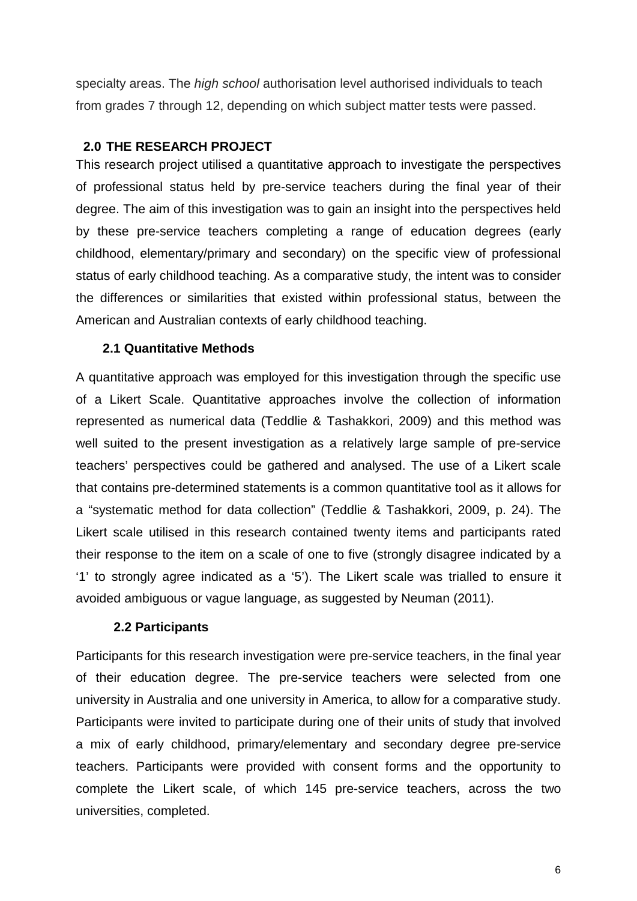specialty areas. The *high school* authorisation level authorised individuals to teach from grades 7 through 12, depending on which subject matter tests were passed.

## **2.0 THE RESEARCH PROJECT**

This research project utilised a quantitative approach to investigate the perspectives of professional status held by pre-service teachers during the final year of their degree. The aim of this investigation was to gain an insight into the perspectives held by these pre-service teachers completing a range of education degrees (early childhood, elementary/primary and secondary) on the specific view of professional status of early childhood teaching. As a comparative study, the intent was to consider the differences or similarities that existed within professional status, between the American and Australian contexts of early childhood teaching.

## **2.1 Quantitative Methods**

A quantitative approach was employed for this investigation through the specific use of a Likert Scale. Quantitative approaches involve the collection of information represented as numerical data (Teddlie & Tashakkori, 2009) and this method was well suited to the present investigation as a relatively large sample of pre-service teachers' perspectives could be gathered and analysed. The use of a Likert scale that contains pre-determined statements is a common quantitative tool as it allows for a "systematic method for data collection" (Teddlie & Tashakkori, 2009, p. 24). The Likert scale utilised in this research contained twenty items and participants rated their response to the item on a scale of one to five (strongly disagree indicated by a '1' to strongly agree indicated as a '5'). The Likert scale was trialled to ensure it avoided ambiguous or vague language, as suggested by Neuman (2011).

#### **2.2 Participants**

Participants for this research investigation were pre-service teachers, in the final year of their education degree. The pre-service teachers were selected from one university in Australia and one university in America, to allow for a comparative study. Participants were invited to participate during one of their units of study that involved a mix of early childhood, primary/elementary and secondary degree pre-service teachers. Participants were provided with consent forms and the opportunity to complete the Likert scale, of which 145 pre-service teachers, across the two universities, completed.

6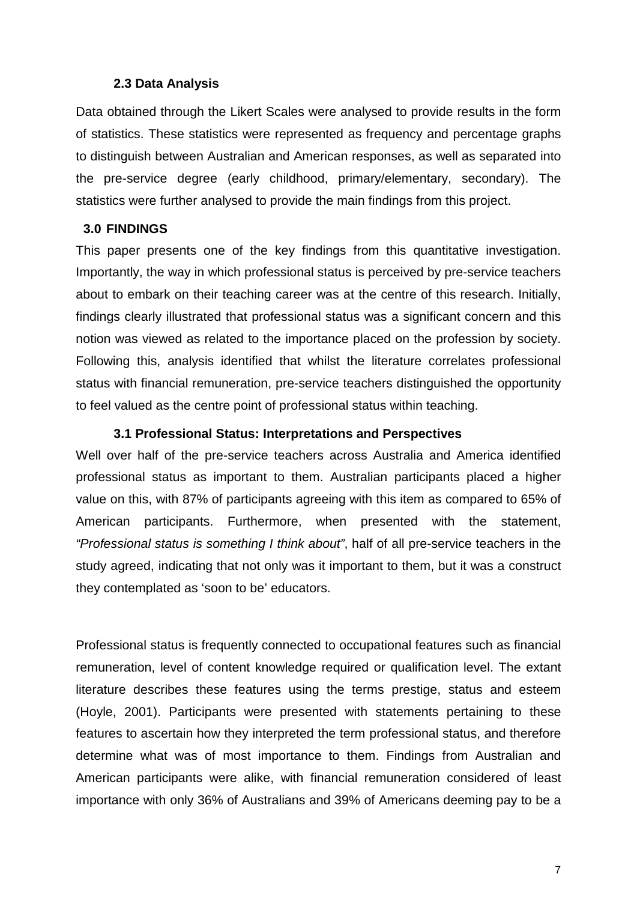#### **2.3 Data Analysis**

Data obtained through the Likert Scales were analysed to provide results in the form of statistics. These statistics were represented as frequency and percentage graphs to distinguish between Australian and American responses, as well as separated into the pre-service degree (early childhood, primary/elementary, secondary). The statistics were further analysed to provide the main findings from this project.

## **3.0 FINDINGS**

This paper presents one of the key findings from this quantitative investigation. Importantly, the way in which professional status is perceived by pre-service teachers about to embark on their teaching career was at the centre of this research. Initially, findings clearly illustrated that professional status was a significant concern and this notion was viewed as related to the importance placed on the profession by society. Following this, analysis identified that whilst the literature correlates professional status with financial remuneration, pre-service teachers distinguished the opportunity to feel valued as the centre point of professional status within teaching.

#### **3.1 Professional Status: Interpretations and Perspectives**

Well over half of the pre-service teachers across Australia and America identified professional status as important to them. Australian participants placed a higher value on this, with 87% of participants agreeing with this item as compared to 65% of American participants. Furthermore, when presented with the statement, *"Professional status is something I think about"*, half of all pre-service teachers in the study agreed, indicating that not only was it important to them, but it was a construct they contemplated as 'soon to be' educators.

Professional status is frequently connected to occupational features such as financial remuneration, level of content knowledge required or qualification level. The extant literature describes these features using the terms prestige, status and esteem (Hoyle, 2001). Participants were presented with statements pertaining to these features to ascertain how they interpreted the term professional status, and therefore determine what was of most importance to them. Findings from Australian and American participants were alike, with financial remuneration considered of least importance with only 36% of Australians and 39% of Americans deeming pay to be a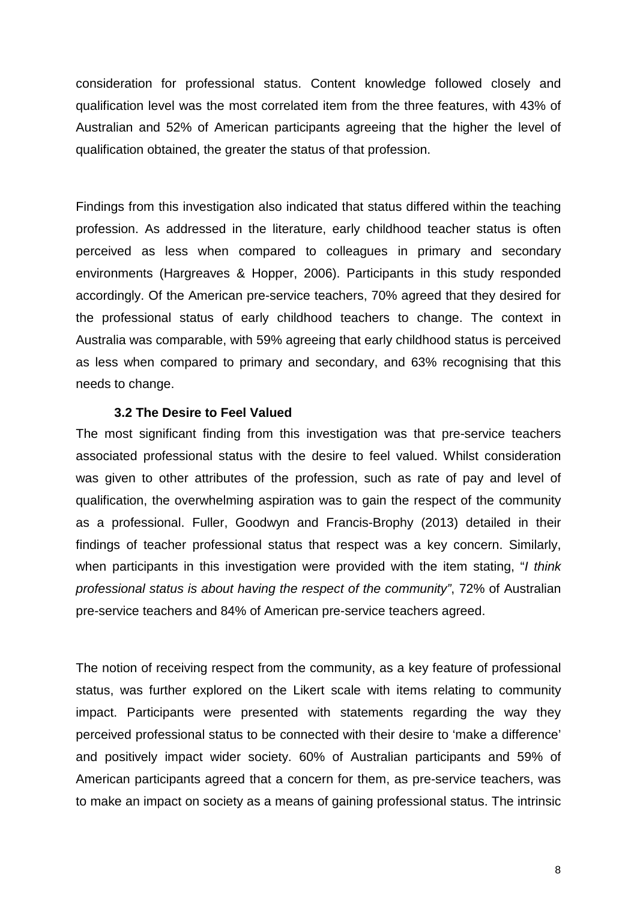consideration for professional status. Content knowledge followed closely and qualification level was the most correlated item from the three features, with 43% of Australian and 52% of American participants agreeing that the higher the level of qualification obtained, the greater the status of that profession.

Findings from this investigation also indicated that status differed within the teaching profession. As addressed in the literature, early childhood teacher status is often perceived as less when compared to colleagues in primary and secondary environments (Hargreaves & Hopper, 2006). Participants in this study responded accordingly. Of the American pre-service teachers, 70% agreed that they desired for the professional status of early childhood teachers to change. The context in Australia was comparable, with 59% agreeing that early childhood status is perceived as less when compared to primary and secondary, and 63% recognising that this needs to change.

### **3.2 The Desire to Feel Valued**

The most significant finding from this investigation was that pre-service teachers associated professional status with the desire to feel valued. Whilst consideration was given to other attributes of the profession, such as rate of pay and level of qualification, the overwhelming aspiration was to gain the respect of the community as a professional. Fuller, Goodwyn and Francis-Brophy (2013) detailed in their findings of teacher professional status that respect was a key concern. Similarly, when participants in this investigation were provided with the item stating, "*I think professional status is about having the respect of the community"*, 72% of Australian pre-service teachers and 84% of American pre-service teachers agreed.

The notion of receiving respect from the community, as a key feature of professional status, was further explored on the Likert scale with items relating to community impact. Participants were presented with statements regarding the way they perceived professional status to be connected with their desire to 'make a difference' and positively impact wider society. 60% of Australian participants and 59% of American participants agreed that a concern for them, as pre-service teachers, was to make an impact on society as a means of gaining professional status. The intrinsic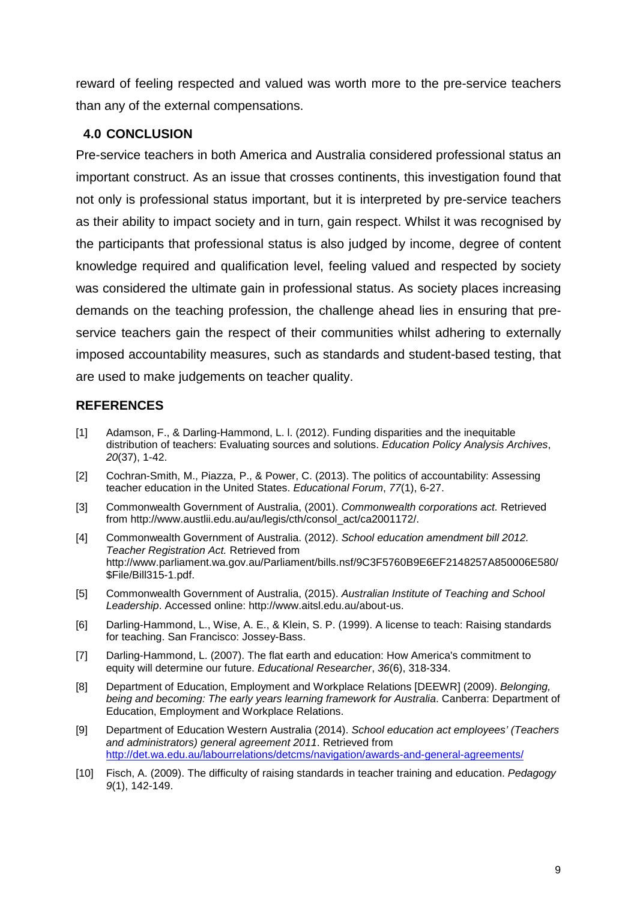reward of feeling respected and valued was worth more to the pre-service teachers than any of the external compensations.

## **4.0 CONCLUSION**

Pre-service teachers in both America and Australia considered professional status an important construct. As an issue that crosses continents, this investigation found that not only is professional status important, but it is interpreted by pre-service teachers as their ability to impact society and in turn, gain respect. Whilst it was recognised by the participants that professional status is also judged by income, degree of content knowledge required and qualification level, feeling valued and respected by society was considered the ultimate gain in professional status. As society places increasing demands on the teaching profession, the challenge ahead lies in ensuring that preservice teachers gain the respect of their communities whilst adhering to externally imposed accountability measures, such as standards and student-based testing, that are used to make judgements on teacher quality.

# **REFERENCES**

- [1] Adamson, F., & Darling-Hammond, L. l. (2012). Funding disparities and the inequitable distribution of teachers: Evaluating sources and solutions. *Education Policy Analysis Archives*, *20*(37), 1-42.
- [2] Cochran-Smith, M., Piazza, P., & Power, C. (2013). The politics of accountability: Assessing teacher education in the United States. *Educational Forum*, *77*(1), 6-27.
- [3] Commonwealth Government of Australia, (2001). *Commonwealth corporations act.* Retrieved from http://www.austlii.edu.au/au/legis/cth/consol\_act/ca2001172/.
- [4] Commonwealth Government of Australia. (2012). *School education amendment bill 2012. Teacher Registration Act.* Retrieved from http://www.parliament.wa.gov.au/Parliament/bills.nsf/9C3F5760B9E6EF2148257A850006E580/ \$File/Bill315-1.pdf.
- [5] Commonwealth Government of Australia, (2015). *Australian Institute of Teaching and School Leadership*. Accessed online: http://www.aitsl.edu.au/about-us.
- [6] Darling-Hammond, L., Wise, A. E., & Klein, S. P. (1999). A license to teach: Raising standards for teaching. San Francisco: Jossey-Bass.
- [7] Darling-Hammond, L. (2007). The flat earth and education: How America's commitment to equity will determine our future. *Educational Researcher*, *36*(6), 318-334.
- [8] Department of Education, Employment and Workplace Relations [DEEWR] (2009). *Belonging, being and becoming: The early years learning framework for Australia*. Canberra: Department of Education, Employment and Workplace Relations.
- [9] Department of Education Western Australia (2014). *School education act employees' (Teachers and administrators) general agreement 2011*. Retrieved from <http://det.wa.edu.au/labourrelations/detcms/navigation/awards-and-general-agreements/>
- [10] Fisch, A. (2009). The difficulty of raising standards in teacher training and education. *Pedagogy 9*(1), 142-149.